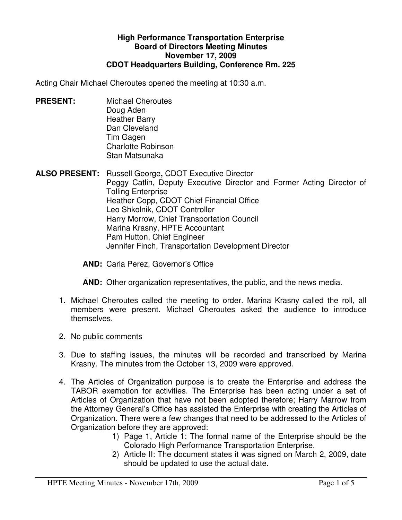## **High Performance Transportation Enterprise Board of Directors Meeting Minutes November 17, 2009 CDOT Headquarters Building, Conference Rm. 225**

Acting Chair Michael Cheroutes opened the meeting at 10:30 a.m.

**PRESENT:** Michael Cheroutes Doug Aden Heather Barry Dan Cleveland Tim Gagen Charlotte Robinson Stan Matsunaka

**ALSO PRESENT:** Russell George**,** CDOT Executive Director Peggy Catlin, Deputy Executive Director and Former Acting Director of Tolling Enterprise Heather Copp, CDOT Chief Financial Office Leo Shkolnik, CDOT Controller Harry Morrow, Chief Transportation Council Marina Krasny, HPTE Accountant Pam Hutton, Chief Engineer Jennifer Finch, Transportation Development Director

**AND:** Carla Perez, Governor's Office

**AND:** Other organization representatives, the public, and the news media.

- 1. Michael Cheroutes called the meeting to order. Marina Krasny called the roll, all members were present. Michael Cheroutes asked the audience to introduce themselves.
- 2. No public comments
- 3. Due to staffing issues, the minutes will be recorded and transcribed by Marina Krasny. The minutes from the October 13, 2009 were approved.
- 4. The Articles of Organization purpose is to create the Enterprise and address the TABOR exemption for activities. The Enterprise has been acting under a set of Articles of Organization that have not been adopted therefore; Harry Marrow from the Attorney General's Office has assisted the Enterprise with creating the Articles of Organization. There were a few changes that need to be addressed to the Articles of Organization before they are approved:
	- 1) Page 1, Article 1: The formal name of the Enterprise should be the Colorado High Performance Transportation Enterprise.
	- 2) Article II: The document states it was signed on March 2, 2009, date should be updated to use the actual date.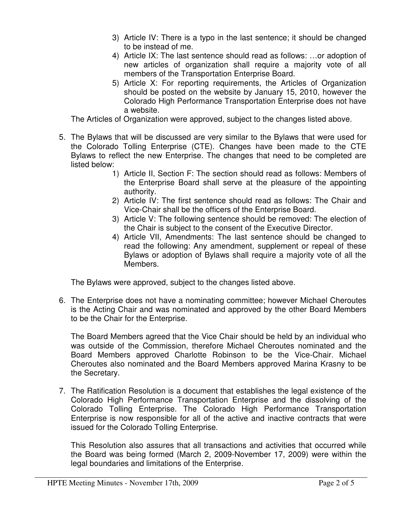- 3) Article IV: There is a typo in the last sentence; it should be changed to be instead of me.
- 4) Article IX: The last sentence should read as follows: …or adoption of new articles of organization shall require a majority vote of all members of the Transportation Enterprise Board.
- 5) Article X: For reporting requirements, the Articles of Organization should be posted on the website by January 15, 2010, however the Colorado High Performance Transportation Enterprise does not have a website.

The Articles of Organization were approved, subject to the changes listed above.

- 5. The Bylaws that will be discussed are very similar to the Bylaws that were used for the Colorado Tolling Enterprise (CTE). Changes have been made to the CTE Bylaws to reflect the new Enterprise. The changes that need to be completed are listed below:
	- 1) Article II, Section F: The section should read as follows: Members of the Enterprise Board shall serve at the pleasure of the appointing authority.
	- 2) Article IV: The first sentence should read as follows: The Chair and Vice-Chair shall be the officers of the Enterprise Board.
	- 3) Article V: The following sentence should be removed: The election of the Chair is subject to the consent of the Executive Director.
	- 4) Article VII, Amendments: The last sentence should be changed to read the following: Any amendment, supplement or repeal of these Bylaws or adoption of Bylaws shall require a majority vote of all the Members.

The Bylaws were approved, subject to the changes listed above.

6. The Enterprise does not have a nominating committee; however Michael Cheroutes is the Acting Chair and was nominated and approved by the other Board Members to be the Chair for the Enterprise.

The Board Members agreed that the Vice Chair should be held by an individual who was outside of the Commission, therefore Michael Cheroutes nominated and the Board Members approved Charlotte Robinson to be the Vice-Chair. Michael Cheroutes also nominated and the Board Members approved Marina Krasny to be the Secretary.

7. The Ratification Resolution is a document that establishes the legal existence of the Colorado High Performance Transportation Enterprise and the dissolving of the Colorado Tolling Enterprise. The Colorado High Performance Transportation Enterprise is now responsible for all of the active and inactive contracts that were issued for the Colorado Tolling Enterprise.

This Resolution also assures that all transactions and activities that occurred while the Board was being formed (March 2, 2009-November 17, 2009) were within the legal boundaries and limitations of the Enterprise.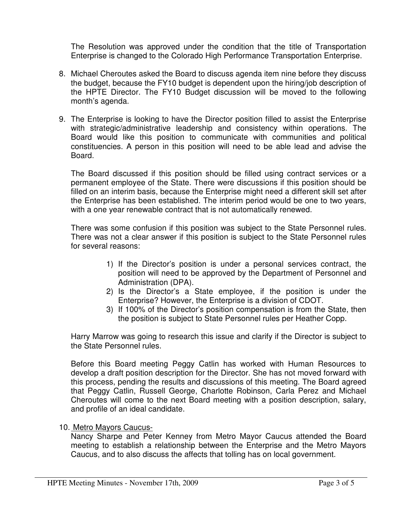The Resolution was approved under the condition that the title of Transportation Enterprise is changed to the Colorado High Performance Transportation Enterprise.

- 8. Michael Cheroutes asked the Board to discuss agenda item nine before they discuss the budget, because the FY10 budget is dependent upon the hiring/job description of the HPTE Director. The FY10 Budget discussion will be moved to the following month's agenda.
- 9. The Enterprise is looking to have the Director position filled to assist the Enterprise with strategic/administrative leadership and consistency within operations. The Board would like this position to communicate with communities and political constituencies. A person in this position will need to be able lead and advise the Board.

The Board discussed if this position should be filled using contract services or a permanent employee of the State. There were discussions if this position should be filled on an interim basis, because the Enterprise might need a different skill set after the Enterprise has been established. The interim period would be one to two years, with a one year renewable contract that is not automatically renewed.

There was some confusion if this position was subject to the State Personnel rules. There was not a clear answer if this position is subject to the State Personnel rules for several reasons:

- 1) If the Director's position is under a personal services contract, the position will need to be approved by the Department of Personnel and Administration (DPA).
- 2) Is the Director's a State employee, if the position is under the Enterprise? However, the Enterprise is a division of CDOT.
- 3) If 100% of the Director's position compensation is from the State, then the position is subject to State Personnel rules per Heather Copp.

Harry Marrow was going to research this issue and clarify if the Director is subject to the State Personnel rules.

Before this Board meeting Peggy Catlin has worked with Human Resources to develop a draft position description for the Director. She has not moved forward with this process, pending the results and discussions of this meeting. The Board agreed that Peggy Catlin, Russell George, Charlotte Robinson, Carla Perez and Michael Cheroutes will come to the next Board meeting with a position description, salary, and profile of an ideal candidate.

## 10. Metro Mayors Caucus-

Nancy Sharpe and Peter Kenney from Metro Mayor Caucus attended the Board meeting to establish a relationship between the Enterprise and the Metro Mayors Caucus, and to also discuss the affects that tolling has on local government.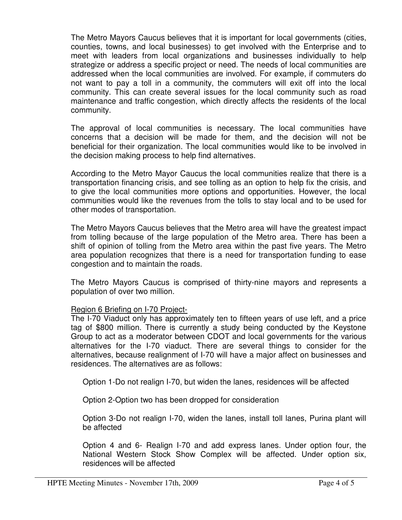The Metro Mayors Caucus believes that it is important for local governments (cities, counties, towns, and local businesses) to get involved with the Enterprise and to meet with leaders from local organizations and businesses individually to help strategize or address a specific project or need. The needs of local communities are addressed when the local communities are involved. For example, if commuters do not want to pay a toll in a community, the commuters will exit off into the local community. This can create several issues for the local community such as road maintenance and traffic congestion, which directly affects the residents of the local community.

The approval of local communities is necessary. The local communities have concerns that a decision will be made for them, and the decision will not be beneficial for their organization. The local communities would like to be involved in the decision making process to help find alternatives.

According to the Metro Mayor Caucus the local communities realize that there is a transportation financing crisis, and see tolling as an option to help fix the crisis, and to give the local communities more options and opportunities. However, the local communities would like the revenues from the tolls to stay local and to be used for other modes of transportation.

The Metro Mayors Caucus believes that the Metro area will have the greatest impact from tolling because of the large population of the Metro area. There has been a shift of opinion of tolling from the Metro area within the past five years. The Metro area population recognizes that there is a need for transportation funding to ease congestion and to maintain the roads.

The Metro Mayors Caucus is comprised of thirty-nine mayors and represents a population of over two million.

## Region 6 Briefing on I-70 Project-

The I-70 Viaduct only has approximately ten to fifteen years of use left, and a price tag of \$800 million. There is currently a study being conducted by the Keystone Group to act as a moderator between CDOT and local governments for the various alternatives for the I-70 viaduct. There are several things to consider for the alternatives, because realignment of I-70 will have a major affect on businesses and residences. The alternatives are as follows:

Option 1-Do not realign I-70, but widen the lanes, residences will be affected

Option 2-Option two has been dropped for consideration

 Option 3-Do not realign I-70, widen the lanes, install toll lanes, Purina plant will be affected

 Option 4 and 6- Realign I-70 and add express lanes. Under option four, the National Western Stock Show Complex will be affected. Under option six, residences will be affected